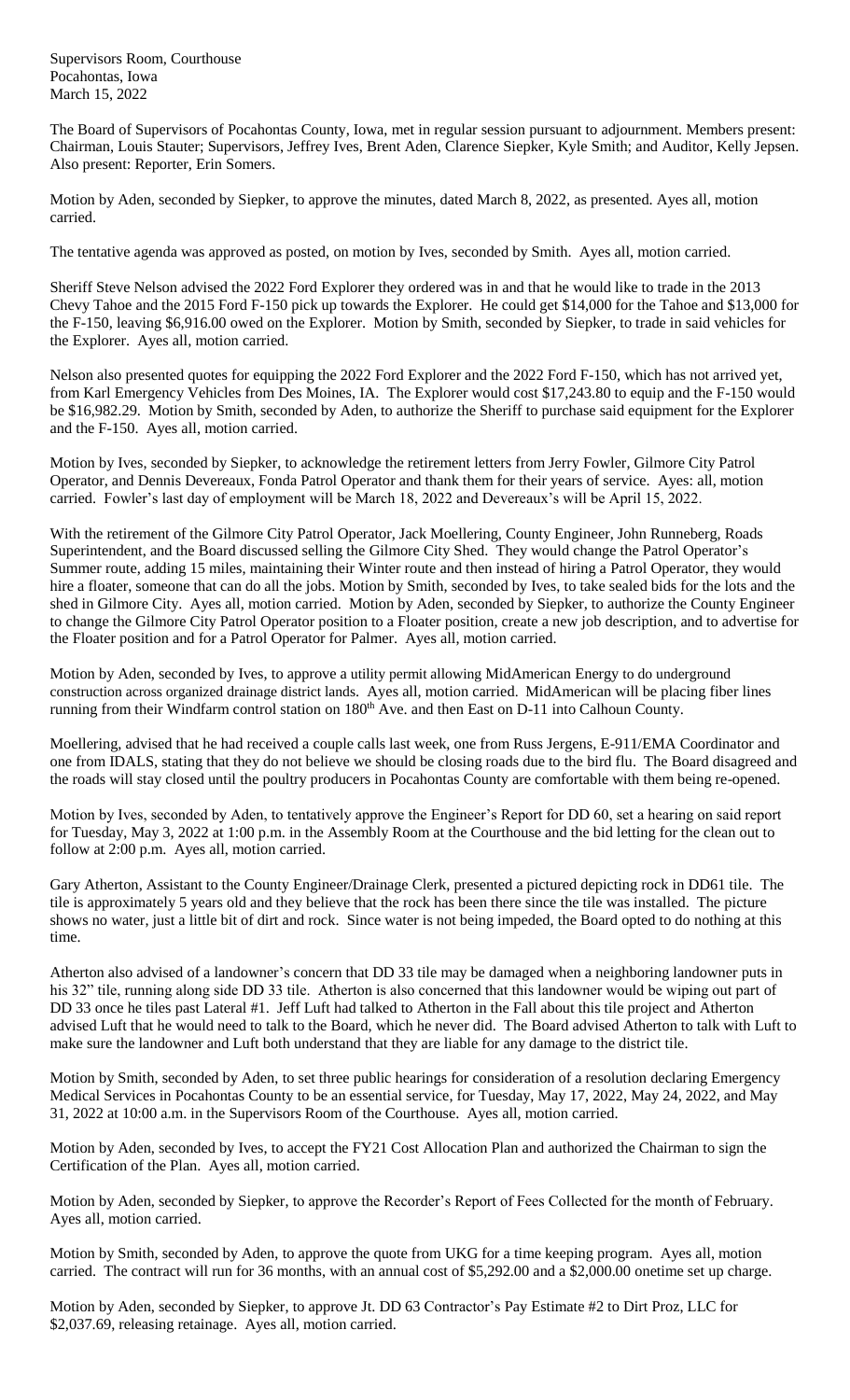Supervisors Room, Courthouse Pocahontas, Iowa March 15, 2022

The Board of Supervisors of Pocahontas County, Iowa, met in regular session pursuant to adjournment. Members present: Chairman, Louis Stauter; Supervisors, Jeffrey Ives, Brent Aden, Clarence Siepker, Kyle Smith; and Auditor, Kelly Jepsen. Also present: Reporter, Erin Somers.

Motion by Aden, seconded by Siepker, to approve the minutes, dated March 8, 2022, as presented. Ayes all, motion carried.

The tentative agenda was approved as posted, on motion by Ives, seconded by Smith. Ayes all, motion carried.

Sheriff Steve Nelson advised the 2022 Ford Explorer they ordered was in and that he would like to trade in the 2013 Chevy Tahoe and the 2015 Ford F-150 pick up towards the Explorer. He could get \$14,000 for the Tahoe and \$13,000 for the F-150, leaving \$6,916.00 owed on the Explorer. Motion by Smith, seconded by Siepker, to trade in said vehicles for the Explorer. Ayes all, motion carried.

Nelson also presented quotes for equipping the 2022 Ford Explorer and the 2022 Ford F-150, which has not arrived yet, from Karl Emergency Vehicles from Des Moines, IA. The Explorer would cost \$17,243.80 to equip and the F-150 would be \$16,982.29. Motion by Smith, seconded by Aden, to authorize the Sheriff to purchase said equipment for the Explorer and the F-150. Ayes all, motion carried.

Motion by Ives, seconded by Siepker, to acknowledge the retirement letters from Jerry Fowler, Gilmore City Patrol Operator, and Dennis Devereaux, Fonda Patrol Operator and thank them for their years of service. Ayes: all, motion carried. Fowler's last day of employment will be March 18, 2022 and Devereaux's will be April 15, 2022.

With the retirement of the Gilmore City Patrol Operator, Jack Moellering, County Engineer, John Runneberg, Roads Superintendent, and the Board discussed selling the Gilmore City Shed. They would change the Patrol Operator's Summer route, adding 15 miles, maintaining their Winter route and then instead of hiring a Patrol Operator, they would hire a floater, someone that can do all the jobs. Motion by Smith, seconded by Ives, to take sealed bids for the lots and the shed in Gilmore City. Ayes all, motion carried. Motion by Aden, seconded by Siepker, to authorize the County Engineer to change the Gilmore City Patrol Operator position to a Floater position, create a new job description, and to advertise for the Floater position and for a Patrol Operator for Palmer. Ayes all, motion carried.

Motion by Aden, seconded by Ives, to approve a utility permit allowing MidAmerican Energy to do underground construction across organized drainage district lands. Ayes all, motion carried. MidAmerican will be placing fiber lines running from their Windfarm control station on 180<sup>th</sup> Ave. and then East on D-11 into Calhoun County.

Moellering, advised that he had received a couple calls last week, one from Russ Jergens, E-911/EMA Coordinator and one from IDALS, stating that they do not believe we should be closing roads due to the bird flu. The Board disagreed and the roads will stay closed until the poultry producers in Pocahontas County are comfortable with them being re-opened.

Motion by Ives, seconded by Aden, to tentatively approve the Engineer's Report for DD 60, set a hearing on said report for Tuesday, May 3, 2022 at 1:00 p.m. in the Assembly Room at the Courthouse and the bid letting for the clean out to follow at 2:00 p.m. Ayes all, motion carried.

Gary Atherton, Assistant to the County Engineer/Drainage Clerk, presented a pictured depicting rock in DD61 tile. The tile is approximately 5 years old and they believe that the rock has been there since the tile was installed. The picture shows no water, just a little bit of dirt and rock. Since water is not being impeded, the Board opted to do nothing at this time.

Atherton also advised of a landowner's concern that DD 33 tile may be damaged when a neighboring landowner puts in his 32" tile, running along side DD 33 tile. Atherton is also concerned that this landowner would be wiping out part of DD 33 once he tiles past Lateral #1. Jeff Luft had talked to Atherton in the Fall about this tile project and Atherton advised Luft that he would need to talk to the Board, which he never did. The Board advised Atherton to talk with Luft to make sure the landowner and Luft both understand that they are liable for any damage to the district tile.

Motion by Smith, seconded by Aden, to set three public hearings for consideration of a resolution declaring Emergency Medical Services in Pocahontas County to be an essential service, for Tuesday, May 17, 2022, May 24, 2022, and May 31, 2022 at 10:00 a.m. in the Supervisors Room of the Courthouse. Ayes all, motion carried.

Motion by Aden, seconded by Ives, to accept the FY21 Cost Allocation Plan and authorized the Chairman to sign the Certification of the Plan. Ayes all, motion carried.

Motion by Aden, seconded by Siepker, to approve the Recorder's Report of Fees Collected for the month of February. Ayes all, motion carried.

Motion by Smith, seconded by Aden, to approve the quote from UKG for a time keeping program. Ayes all, motion carried. The contract will run for 36 months, with an annual cost of \$5,292.00 and a \$2,000.00 onetime set up charge.

Motion by Aden, seconded by Siepker, to approve Jt. DD 63 Contractor's Pay Estimate #2 to Dirt Proz, LLC for \$2,037.69, releasing retainage. Ayes all, motion carried.